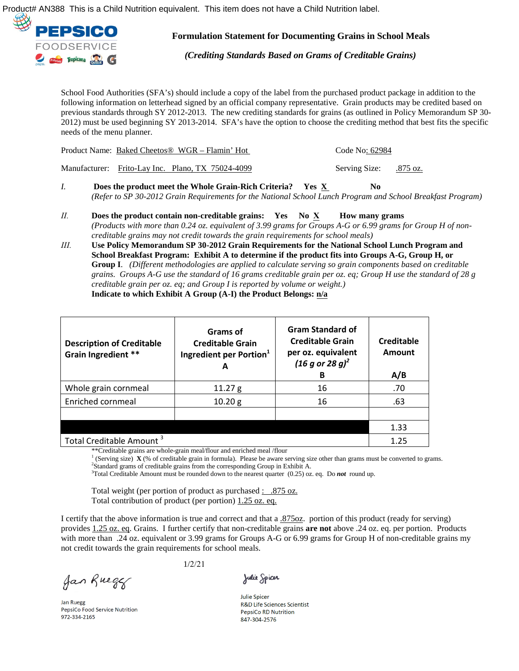



**Formulation Statement for Documenting Grains in School Meals**

*(Crediting Standards Based on Grams of Creditable Grains)* 

School Food Authorities (SFA's) should include a copy of the label from the purchased product package in addition to the following information on letterhead signed by an official company representative. Grain products may be credited based on previous standards through SY 2012-2013. The new crediting standards for grains (as outlined in Policy Memorandum SP 30- 2012) must be used beginning SY 2013-2014. SFA's have the option to choose the crediting method that best fits the specific needs of the menu planner.

| Product Name: Baked Cheetos <sup>®</sup> WGR – Flamin' Hot | Code No: 62984         |  |
|------------------------------------------------------------|------------------------|--|
| Manufacturer: Frito-Lav Inc. Plano, TX 75024-4099          | Serving Size: .875 oz. |  |

- *I.* **Does the product meet the Whole Grain-Rich Criteria?** Yes  $\underline{X}$  No *(Refer to SP 30-2012 Grain Requirements for the National School Lunch Program and School Breakfast Program)*
- *II.* **Does the product contain non-creditable grains: Yes No X How many grams** *(Products with more than 0.24 oz. equivalent of 3.99 grams for Groups A-G or 6.99 grams for Group H of noncreditable grains may not credit towards the grain requirements for school meals)*
- *III.* **Use Policy Memorandum SP 30-2012 Grain Requirements for the National School Lunch Program and School Breakfast Program: Exhibit A to determine if the product fits into Groups A-G, Group H, or Group I**. *(Different methodologies are applied to calculate serving so grain components based on creditable grains. Groups A-G use the standard of 16 grams creditable grain per oz. eq; Group H use the standard of 28 g creditable grain per oz. eq; and Group I is reported by volume or weight.)* **Indicate to which Exhibit A Group (A-I) the Product Belongs: n/a**

| <b>Description of Creditable</b><br>Grain Ingredient ** | Grams of<br><b>Creditable Grain</b><br>Ingredient per Portion <sup>1</sup><br>A | <b>Gram Standard of</b><br><b>Creditable Grain</b><br>per oz. equivalent<br>$(16 g or 28 g)^2$<br>в | Creditable<br>Amount<br>A/B |
|---------------------------------------------------------|---------------------------------------------------------------------------------|-----------------------------------------------------------------------------------------------------|-----------------------------|
| Whole grain cornmeal                                    | 11.27 g                                                                         | 16                                                                                                  | .70                         |
| Enriched cornmeal                                       | 10.20 g                                                                         | 16                                                                                                  | .63                         |
|                                                         |                                                                                 |                                                                                                     |                             |
|                                                         |                                                                                 |                                                                                                     | 1.33                        |
| Total Creditable Amount <sup>3</sup>                    |                                                                                 |                                                                                                     | 1.25                        |

\*\*Creditable grains are whole-grain meal/flour and enriched meal /flour

<sup>1</sup> (Serving size)  $\mathbf{X}$  (% of creditable grain in formula). Please be aware serving size other than grams must be converted to grams. <sup>2</sup>Standard grams of creditable grains from the corresponding Group in Exhibit A.

 $3$ Total Creditable Amount must be rounded down to the nearest quarter  $(0.25)$  oz. eq. Do **not** round up.

Total weight (per portion of product as purchased : .875 oz. Total contribution of product (per portion) 1.25 oz. eq.

I certify that the above information is true and correct and that a .875oz. portion of this product (ready for serving) provides 1.25 oz. eq. Grains. I further certify that non-creditable grains **are not** above .24 oz. eq. per portion. Products with more than .24 oz. equivalent or 3.99 grams for Groups A-G or 6.99 grams for Group H of non-creditable grains my not credit towards the grain requirements for school meals.

Jan Rueger

**Jan Ruegg** PepsiCo Food Service Nutrition 972-334-2165

1/2/21

Julie Spicer

**Julie Spicer** R&D Life Sciences Scientist **PepsiCo RD Nutrition** 847-304-2576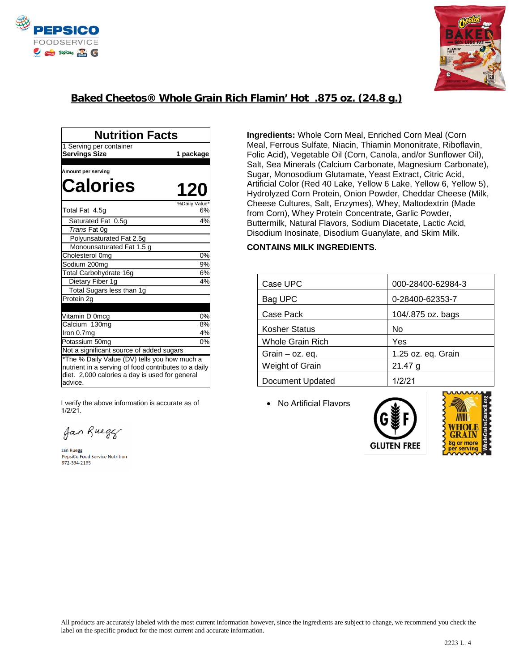



## **Baked Cheetos® Whole Grain Rich Flamin' Hot .875 oz. (24.8 g.)**

| <b>Nutrition Facts</b>                                                                                                                                            |               |  |  |
|-------------------------------------------------------------------------------------------------------------------------------------------------------------------|---------------|--|--|
| 1 Serving per container                                                                                                                                           |               |  |  |
| <b>Servings Size</b>                                                                                                                                              | 1 package     |  |  |
|                                                                                                                                                                   |               |  |  |
| Amount per serving                                                                                                                                                |               |  |  |
| <b>Calories</b>                                                                                                                                                   | <b>120</b>    |  |  |
|                                                                                                                                                                   | %Daily Value* |  |  |
| Total Fat 4.5g                                                                                                                                                    | 6%            |  |  |
| Saturated Fat 0.5g                                                                                                                                                | 4%            |  |  |
| Trans Fat 0g                                                                                                                                                      |               |  |  |
| Polyunsaturated Fat 2.5g                                                                                                                                          |               |  |  |
| Monounsaturated Fat 1.5 g                                                                                                                                         |               |  |  |
| Cholesterol 0mg                                                                                                                                                   | 0%            |  |  |
| Sodium 200mg                                                                                                                                                      | 9%            |  |  |
| Total Carbohydrate 16q                                                                                                                                            | 6%            |  |  |
| Dietary Fiber 1g                                                                                                                                                  | 4%            |  |  |
| Total Sugars less than 1g                                                                                                                                         |               |  |  |
| Protein 2g                                                                                                                                                        |               |  |  |
| Vitamin D 0mcg                                                                                                                                                    | 0%            |  |  |
| Calcium 130mg                                                                                                                                                     | 8%            |  |  |
| Iron 0.7mg                                                                                                                                                        | 4%            |  |  |
| Potassium 50mg                                                                                                                                                    | 0%            |  |  |
| Not a significant source of added sugars                                                                                                                          |               |  |  |
| *The % Daily Value (DV) tells you how much a<br>nutrient in a serving of food contributes to a daily<br>diet. 2,000 calories a day is used for general<br>advice. |               |  |  |

I verify the above information is accurate as of 1/2/21.

Jan Rueger

Jan Ruegg<br>PepsiCo Food Service Nutrition 972-334-2165

**Ingredients:** Whole Corn Meal, Enriched Corn Meal (Corn Meal, Ferrous Sulfate, Niacin, Thiamin Mononitrate, Riboflavin, Folic Acid), Vegetable Oil (Corn, Canola, and/or Sunflower Oil), Salt, Sea Minerals (Calcium Carbonate, Magnesium Carbonate), Sugar, Monosodium Glutamate, Yeast Extract, Citric Acid, Artificial Color (Red 40 Lake, Yellow 6 Lake, Yellow 6, Yellow 5), Hydrolyzed Corn Protein, Onion Powder, Cheddar Cheese (Milk, Cheese Cultures, Salt, Enzymes), Whey, Maltodextrin (Made from Corn), Whey Protein Concentrate, Garlic Powder, Buttermilk, Natural Flavors, Sodium Diacetate, Lactic Acid, Disodium Inosinate, Disodium Guanylate, and Skim Milk.

## **CONTAINS MILK INGREDIENTS.**

| Case UPC                | 000-28400-62984-3  |  |
|-------------------------|--------------------|--|
| Bag UPC                 | 0-28400-62353-7    |  |
| Case Pack               | 104/.875 oz. bags  |  |
| <b>Kosher Status</b>    | No                 |  |
| <b>Whole Grain Rich</b> | Yes                |  |
| Grain $-$ oz. eq.       | 1.25 oz. eq. Grain |  |
| Weight of Grain         | 21.47 g            |  |
| Document Updated        | 1/2/21             |  |

• No Artificial Flavors





All products are accurately labeled with the most current information however, since the ingredients are subject to change, we recommend you check the label on the specific product for the most current and accurate information.